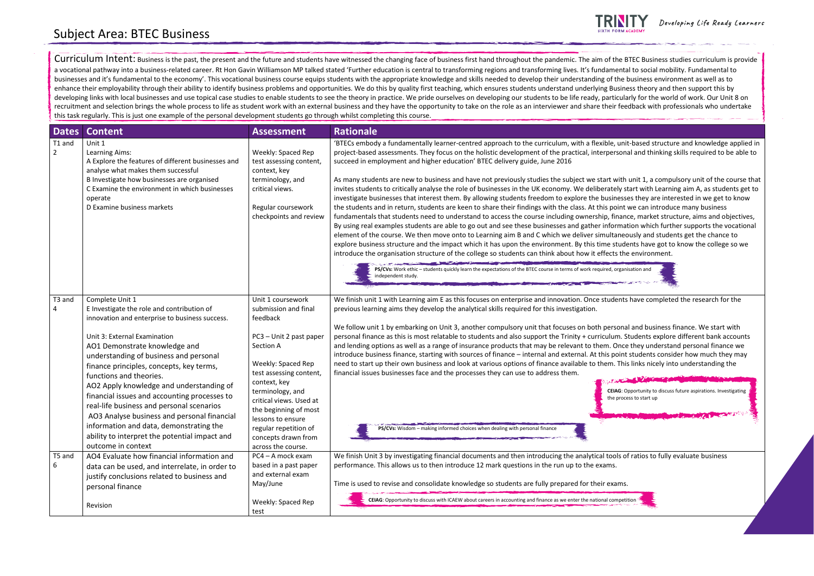| <b>Dates</b>             | <b>Content</b>                                                                                                                                                                                                                                                                                                                                                                                                                             | <b>Assessment</b>                                                                                                                                                                                                                      | <b>Rationale</b>                                                                                                                                                                                                                                                                                                                                                                                                                                                                                                                                                                                                                                                                                                                                                                                                                                                                                                                                                                                                                                                                                                                                                                                                                                                                                                                                                                                                                                                                                                                   |
|--------------------------|--------------------------------------------------------------------------------------------------------------------------------------------------------------------------------------------------------------------------------------------------------------------------------------------------------------------------------------------------------------------------------------------------------------------------------------------|----------------------------------------------------------------------------------------------------------------------------------------------------------------------------------------------------------------------------------------|------------------------------------------------------------------------------------------------------------------------------------------------------------------------------------------------------------------------------------------------------------------------------------------------------------------------------------------------------------------------------------------------------------------------------------------------------------------------------------------------------------------------------------------------------------------------------------------------------------------------------------------------------------------------------------------------------------------------------------------------------------------------------------------------------------------------------------------------------------------------------------------------------------------------------------------------------------------------------------------------------------------------------------------------------------------------------------------------------------------------------------------------------------------------------------------------------------------------------------------------------------------------------------------------------------------------------------------------------------------------------------------------------------------------------------------------------------------------------------------------------------------------------------|
| T1 and<br>$\overline{2}$ | Unit 1<br>Learning Aims:<br>A Explore the features of different businesses and<br>analyse what makes them successful<br>B Investigate how businesses are organised<br>C Examine the environment in which businesses<br>operate<br>D Examine business markets                                                                                                                                                                               | Weekly: Spaced Rep<br>test assessing content,<br>context, key<br>terminology, and<br>critical views.<br>Regular coursework<br>checkpoints and review                                                                                   | 'BTECs embody a fundamentally learner-centred approach to the curriculum, with a flexible, unit-based structi<br>project-based assessments. They focus on the holistic development of the practical, interpersonal and thinking<br>succeed in employment and higher education' BTEC delivery guide, June 2016<br>As many students are new to business and have not previously studies the subject we start with unit 1, a comp<br>invites students to critically analyse the role of businesses in the UK economy. We deliberately start with Learr<br>investigate businesses that interest them. By allowing students freedom to explore the businesses they are int<br>the students and in return, students are keen to share their findings with the class. At this point we can introdu<br>fundamentals that students need to understand to access the course including ownership, finance, market stru<br>By using real examples students are able to go out and see these businesses and gather information which furt<br>element of the course. We then move onto to Learning aim B and C which we deliver simultaneously and stude<br>explore business structure and the impact which it has upon the environment. By this time students have got t<br>introduce the organisation structure of the college so students can think about how it effects the environment<br>PS/CVs: Work ethic - students quickly learn the expectations of the BTEC course in terms of work required, organisation and<br>independent study. |
| T3 and<br>4              | Complete Unit 1<br>E Investigate the role and contribution of<br>innovation and enterprise to business success.<br>Unit 3: External Examination<br>AO1 Demonstrate knowledge and<br>understanding of business and personal<br>finance principles, concepts, key terms,<br>functions and theories.<br>AO2 Apply knowledge and understanding of<br>financial issues and accounting processes to<br>real-life business and personal scenarios | Unit 1 coursework<br>submission and final<br>feedback<br>PC3 - Unit 2 past paper<br>Section A<br>Weekly: Spaced Rep<br>test assessing content,<br>context, key<br>terminology, and<br>critical views. Used at<br>the beginning of most | We finish unit 1 with Learning aim E as this focuses on enterprise and innovation. Once students have complet<br>previous learning aims they develop the analytical skills required for this investigation.<br>We follow unit 1 by embarking on Unit 3, another compulsory unit that focuses on both personal and business<br>personal finance as this is most relatable to students and also support the Trinity + curriculum. Students exploi<br>and lending options as well as a range of insurance products that may be relevant to them. Once they understa<br>introduce business finance, starting with sources of finance - internal and external. At this point students cons<br>need to start up their own business and look at various options of finance available to them. This links nicely in<br>financial issues businesses face and the processes they can use to address them.<br><b>CEIAG:</b> Opportunity to discus<br>the process to start up                                                                                                                                                                                                                                                                                                                                                                                                                                                                                                                                                                  |
| T5 and<br>6              | AO3 Analyse business and personal financial<br>information and data, demonstrating the<br>ability to interpret the potential impact and<br>outcome in context<br>AO4 Evaluate how financial information and<br>data can be used, and interrelate, in order to<br>justify conclusions related to business and<br>personal finance                                                                                                           | lessons to ensure<br>regular repetition of<br>concepts drawn from<br>across the course.<br>PC4 - A mock exam<br>based in a past paper<br>and external exam<br>May/June                                                                 | <b>PS/CVs:</b> Wisdom – making informed choices when dealing with personal finance<br>We finish Unit 3 by investigating financial documents and then introducing the analytical tools of ratios to fully<br>performance. This allows us to then introduce 12 mark questions in the run up to the exams.<br>Time is used to revise and consolidate knowledge so students are fully prepared for their exams.                                                                                                                                                                                                                                                                                                                                                                                                                                                                                                                                                                                                                                                                                                                                                                                                                                                                                                                                                                                                                                                                                                                        |
|                          | Revision                                                                                                                                                                                                                                                                                                                                                                                                                                   | Weekly: Spaced Rep<br>test                                                                                                                                                                                                             | CEIAG: Opportunity to discuss with ICAEW about careers in accounting and finance as we enter the national competition                                                                                                                                                                                                                                                                                                                                                                                                                                                                                                                                                                                                                                                                                                                                                                                                                                                                                                                                                                                                                                                                                                                                                                                                                                                                                                                                                                                                              |



Developing Life Ready Learners

unit-based structure and knowledge applied in sonal and thinking skills required to be able to

with unit 1, a compulsory unit of the course that ly start with Learning aim A, as students get to inesses they are interested in we get to know the students and in return and to sine their finding their finding the can introduce many business. nance, market structure, aims and objectives, rmation which further supports the vocational aneously and students get the chance to tudents have got to know the college so we s the environment.

Curriculum Intent: Business is the past, the present and the future and students have witnessed the changing face of business first hand throughout the pandemic. The aim of the BTEC Business studies curriculum is provide a vocational pathway into a business-related career. Rt Hon Gavin Williamson MP talked stated 'Further education is central to transforming regions and transforming lives. It's fundamental to social mobility. Fundamental t businesses and it's fundamental to the economy'. This vocational business course equips students with the appropriate knowledge and skills needed to develop their understanding of the business environment as well as to enhance their employability through their ability to identify business problems and opportunities. We do this by quality first teaching, which ensures students understand underlying Business theory and then support this by developing links with local businesses and use topical case studies to enable students to see the theory in practice. We pride ourselves on developing our students to be life ready, particularly for the world of work. Our recruitment and selection brings the whole process to life as student work with an external business and they have the opportunity to take on the role as an interviewer and share their feedback with professionals who under this task regularly. This is just one example of the personal development students go through whilst completing this course.



ents have completed the research for the

sonal and business finance. We start with m. Students explore different bank accounts Ince they understand personal finance we oint students consider how much they may This links nicely into understanding the

AG: Opportunity to discuss future aspirations. Investigating process to start up

Is of ratios to fully evaluate business